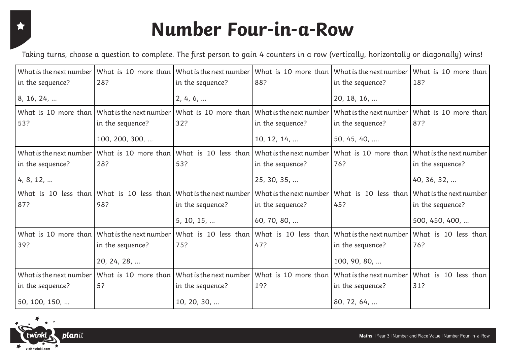#### X

### **Number Four-in-a-Row**

Taking turns, choose a question to complete. The first person to gain 4 counters in a row (vertically, horizontally or diagonally) wins!

|                         |                                              |                         |                                              |                         | What is the next number   What is 10 more than   What is the next number   What is 10 more than   What is the next number   What is 10 more than |
|-------------------------|----------------------------------------------|-------------------------|----------------------------------------------|-------------------------|--------------------------------------------------------------------------------------------------------------------------------------------------|
| in the sequence?        | 28?                                          | in the sequence?        | 88?                                          | in the sequence?        | 18?                                                                                                                                              |
| 8, 16, 24,              |                                              | 2, 4, 6,                |                                              | 20, 18, 16,             |                                                                                                                                                  |
|                         | What is 10 more than What is the next number | What is 10 more than    | What is the next number                      | What is the next number | What is 10 more than                                                                                                                             |
| 53?                     | in the sequence?                             | 32?                     | in the sequence?                             | in the sequence?        | 87?                                                                                                                                              |
|                         | 100, 200, 300,                               |                         | 10, 12, 14,                                  | 50, 45, 40,             |                                                                                                                                                  |
| What is the next number | What is 10 more than What is 10 less than    |                         | What is the next number                      | What is 10 more than    | What is the next number                                                                                                                          |
| in the sequence?        | 28?                                          | 53?                     | in the sequence?                             | 76?                     | in the sequence?                                                                                                                                 |
| 4, 8, 12,               |                                              |                         | 25, 30, 35,                                  |                         | 40, 36, 32,                                                                                                                                      |
|                         |                                              |                         |                                              |                         |                                                                                                                                                  |
|                         | What is 10 less than What is 10 less than    | What is the next number | What is the next number                      | What is 10 less than    | What is the next number                                                                                                                          |
| 87?                     | 98?                                          | in the sequence?        | in the sequence?                             | 45?                     | in the sequence?                                                                                                                                 |
|                         |                                              | 5, 10, 15,              | 60, 70, 80,                                  |                         | 500, 450, 400,                                                                                                                                   |
|                         | What is 10 more than What is the next number | What is 10 less than    | What is 10 less than What is the next number |                         | What is 10 less than                                                                                                                             |
| 39?                     | in the sequence?                             | 75?                     | 47?                                          | in the sequence?        | 76?                                                                                                                                              |
|                         | 20, 24, 28,                                  |                         |                                              | 100, 90, 80,            |                                                                                                                                                  |
| What is the next number | What is 10 more than What is the next number |                         | What is 10 more than                         | What is the next number | What is 10 less than                                                                                                                             |
| in the sequence?        | 5?                                           | in the sequence?        | 19?                                          | in the sequence?        | 31?                                                                                                                                              |

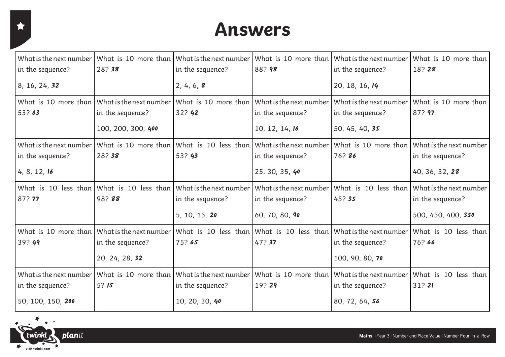#### **Answers**

| What is the next number | What is 10 more than What is the next number                                                                   |                                              |                                                                                        | What is 10 more than What is the next number | What is 10 more than    |
|-------------------------|----------------------------------------------------------------------------------------------------------------|----------------------------------------------|----------------------------------------------------------------------------------------|----------------------------------------------|-------------------------|
| in the sequence?        | 28?38                                                                                                          | in the sequence?                             | 88?98                                                                                  | in the sequence?                             | 18?28                   |
| 8, 16, 24, 32           |                                                                                                                | 2, 4, 6, 8                                   |                                                                                        | 20, 18, 16, 14                               |                         |
|                         | What is 10 more than What is the next number What is 10 more than What is the next number                      |                                              |                                                                                        | What is the next number                      | What is 10 more than    |
| 53?63                   | in the sequence?                                                                                               | 32? 42                                       | in the sequence?                                                                       | in the sequence?                             | 87? 97                  |
|                         | 100, 200, 300, 400                                                                                             |                                              | 10, 12, 14, 16                                                                         | 50, 45, 40, 35                               |                         |
| What is the next number |                                                                                                                |                                              | What is 10 more than What is 10 less than What is the next number What is 10 more than |                                              | What is the next number |
| in the sequence?        | 28?38                                                                                                          | 53? 43                                       | in the sequence?                                                                       | 76? 86                                       | in the sequence?        |
| 4, 8, 12, 16            |                                                                                                                |                                              | 25, 30, 35, 40                                                                         |                                              | 40, 36, 32, 28          |
|                         | What is 10 less than What is 10 less than What is the next number                                              |                                              |                                                                                        | What is the next number What is 10 less than | What is the next number |
| 87? 77                  | 98?88                                                                                                          | in the sequence?                             | in the sequence?                                                                       | 45?35                                        | in the sequence?        |
|                         |                                                                                                                | 5, 10, 15, 20                                | 60, 70, 80, 90                                                                         |                                              | 500, 450, 400, 350      |
|                         | What is 10 more than What is the next number What is 10 less than What is 10 less than What is the next number |                                              |                                                                                        |                                              | What is 10 less than    |
| 39? 49                  | in the sequence?                                                                                               | 75?65                                        | 47? 37                                                                                 | in the sequence?                             | 76?66                   |
|                         | 20, 24, 28, 32                                                                                                 |                                              |                                                                                        | 100, 90, 80, 70                              |                         |
| What is the next number |                                                                                                                | What is 10 more than What is the next number |                                                                                        | What is 10 more than What is the next number | What is 10 less than    |
| in the sequence?        | 5?15                                                                                                           | in the sequence?                             | 19?29                                                                                  | in the sequence?                             | 31?21                   |
| 50, 100, 150, 200       |                                                                                                                | 10, 20, 30, 40                               |                                                                                        | 80, 72, 64, 56                               |                         |

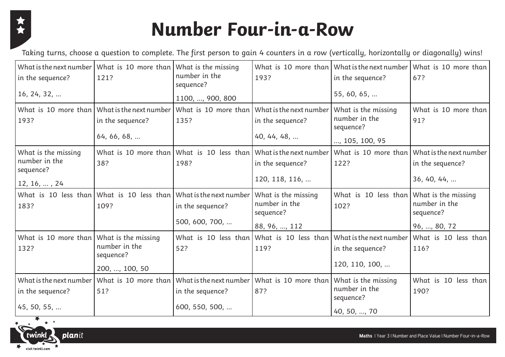

# **Number Four-in-a-Row**

Taking turns, choose a question to complete. The first person to gain 4 counters in a row (vertically, horizontally or diagonally) wins!

| in the sequence?<br>16, 24, 32,                                           | What is the next number   What is 10 more than   What is the missing<br>121?    | number in the<br>sequence?<br>1100, , 900, 800                            | 193?                                                                                     | in the sequence?<br>55, 60, 65,                                     | What is 10 more than What is the next number What is 10 more than<br>67?        |
|---------------------------------------------------------------------------|---------------------------------------------------------------------------------|---------------------------------------------------------------------------|------------------------------------------------------------------------------------------|---------------------------------------------------------------------|---------------------------------------------------------------------------------|
| 193?                                                                      | What is 10 more than What is the next number<br>in the sequence?<br>64, 66, 68, | 135?                                                                      | What is 10 more than What is the next number<br>in the sequence?<br>40, 44, 48,          | What is the missing<br>number in the<br>sequence?<br>, 105, 100, 95 | What is 10 more than<br>91?                                                     |
| What is the missing<br>number in the<br>sequence?<br>$12, 16, \ldots, 24$ | 38?                                                                             | What is 10 more than What is 10 less than What is the next number<br>198? | in the sequence?<br>120, 118, 116,                                                       | 122?                                                                | What is 10 more than What is the next number<br>in the sequence?<br>36, 40, 44, |
| 183?                                                                      | What is 10 less than What is 10 less than What is the next number<br>109?       | in the sequence?<br>500, 600, 700,                                        | What is the missing<br>number in the<br>sequence?<br>88, 96, , 112                       | What is 10 less than<br>102?                                        | What is the missing<br>number in the<br>sequence?<br>96, , 80, 72               |
| What is 10 more than What is the missing<br>132?                          | number in the<br>sequence?<br>200, , 100, 50                                    | 52?                                                                       | What is 10 less than What is 10 less than What is the next number<br>119?                | in the sequence?<br>120, 110, 100,                                  | What is 10 less than<br>116?                                                    |
| What is the next number<br>in the sequence?<br>45, 50, 55,                | 51?                                                                             | in the sequence?<br>600, 550, 500,                                        | What is 10 more than Whatisthenextnumber What is 10 more than What is the missing<br>87? | number in the<br>sequence?<br>40, 50, , 70                          | What is 10 less than<br>190?                                                    |

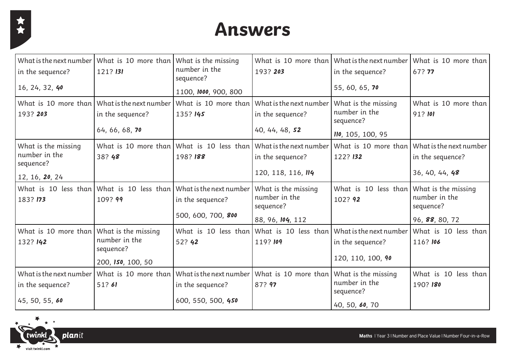

### **Answers**

| in the sequence?                                              | What is the next number   What is 10 more than   What is the missing<br>121? 131 | number in the<br>sequence?                | 193? 203                                           | What is 10 more than What is the next number<br>in the sequence? | What is 10 more than<br>67? 77   |
|---------------------------------------------------------------|----------------------------------------------------------------------------------|-------------------------------------------|----------------------------------------------------|------------------------------------------------------------------|----------------------------------|
| 16, 24, 32, 40                                                |                                                                                  | 1100, 1000, 900, 800                      |                                                    | 55, 60, 65, 70                                                   |                                  |
|                                                               | What is 10 more than What is the next number                                     | What is 10 more than                      | What is the next number                            | What is the missing                                              | What is 10 more than             |
| 193? 203                                                      | in the sequence?                                                                 | 135? 145                                  | in the sequence?                                   | number in the<br>sequence?                                       | 91?101                           |
|                                                               | 64, 66, 68, 70                                                                   |                                           | 40, 44, 48, 52                                     | 110, 105, 100, 95                                                |                                  |
| What is the missing                                           |                                                                                  | What is 10 more than What is 10 less than | What is the next number                            | What is 10 more than                                             | What is the next number          |
| number in the<br>sequence?                                    | 38? 48                                                                           | 198? 188                                  | in the sequence?                                   | 122? 132                                                         | in the sequence?                 |
| 12, 16, 20, 24                                                |                                                                                  |                                           | 120, 118, 116, 114                                 |                                                                  | 36, 40, 44, 48                   |
| 183? 173                                                      | What is 10 less than What is 10 less than What is the next number<br>109? 99     | in the sequence?                          | What is the missing<br>number in the<br>sequence?  | What is 10 less than What is the missing<br>102? 92              | number in the<br>sequence?       |
|                                                               |                                                                                  | 500, 600, 700, 800                        | 88, 96, 104, 112                                   |                                                                  | 96, 88, 80, 72                   |
| What is 10 more than What is the missing<br>132? 142          | number in the<br>sequence?                                                       | What is 10 less than<br>52? 42            | 119? 109                                           | What is 10 less than What is the next number<br>in the sequence? | What is 10 less than<br>116? 106 |
|                                                               | 200, 150, 100, 50                                                                |                                           |                                                    | 120, 110, 100, 90                                                |                                  |
| What is the next number<br>in the sequence?<br>45, 50, 55, 60 | $\mid$ What is 10 more than $\mid$ What is the next number $\mid$<br>51?61       | in the sequence?<br>600, 550, 500, 450    | What is 10 more than What is the missing<br>87? 97 | number in the<br>sequence?                                       | What is 10 less than<br>190? 180 |
|                                                               |                                                                                  |                                           |                                                    | 40, 50, 60, 70                                                   |                                  |

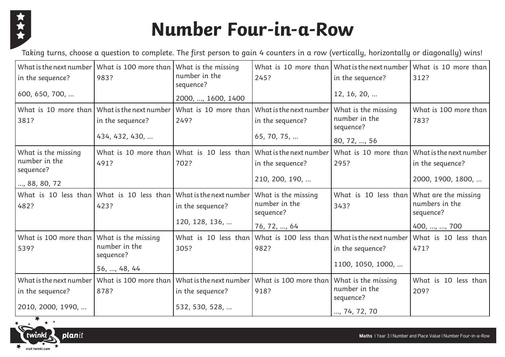

# **Number Four-in-a-Row**

Taking turns, choose a question to complete. The first person to gain 4 counters in a row (vertically, horizontally or diagonally) wins!

| in the sequence?<br>600, 650, 700,                                | What is the next number   What is 100 more than   What is the missing<br>983? | number in the<br>sequence?<br>2000, , 1600, 1400                                    | 245?                                                                                                    | in the sequence?<br>12, 16, 20,                                   | What is 10 more than What is the next number What is 10 more than<br>312? |
|-------------------------------------------------------------------|-------------------------------------------------------------------------------|-------------------------------------------------------------------------------------|---------------------------------------------------------------------------------------------------------|-------------------------------------------------------------------|---------------------------------------------------------------------------|
| What is 10 more than<br>381?                                      | What is the next number<br>in the sequence?<br>434, 432, 430,                 | 249?                                                                                | What is 10 more than What is the next number<br>in the sequence?<br>65, 70, 75,                         | What is the missing<br>number in the<br>sequence?<br>80, 72, , 56 | What is 100 more than<br>783?                                             |
| What is the missing<br>number in the<br>sequence?<br>, 88, 80, 72 | 491?                                                                          | 702?                                                                                | What is 10 more than What is 10 less than What is the next number<br>in the sequence?<br>210, 200, 190, | What is 10 more than<br>295?                                      | What is the next number<br>in the sequence?<br>2000, 1900, 1800,          |
| 482?                                                              | What is 10 less than What is 10 less than What is the next number<br>423?     | in the sequence?<br>120, 128, 136,                                                  | What is the missing<br>number in the<br>sequence?<br>76, 72, , 64                                       | What is 10 less than<br>343?                                      | What are the missing<br>numbers in the<br>sequence?<br>400, , , 700       |
| What is 100 more than<br>539?                                     | What is the missing<br>number in the<br>sequence?<br>56, , 48, 44             | 305?                                                                                | What is 10 less than What is 100 less than What is the next number<br>982?                              | in the sequence?<br>1100, 1050, 1000,                             | What is 10 less than<br>471?                                              |
| What is the next number<br>in the sequence?<br>2010, 2000, 1990,  | 878?                                                                          | What is 100 more than What is the next number<br>in the sequence?<br>532, 530, 528, | What is 100 more than   What is the missing<br>918?                                                     | number in the<br>sequence?<br>, 74, 72, 70                        | What is 10 less than<br>209?                                              |